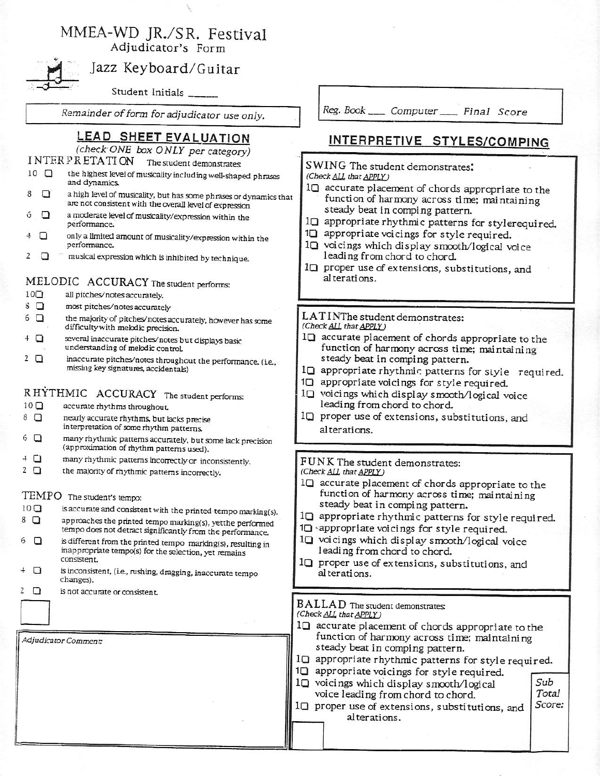# MMEA-WD JR./SR. Festival

Adjudicator's Form



## Jazz Keyboard/Guitar

Student Initials \_

Remainder of form for adjudicator use only.

### LEAD SHEET EVALUATION

(check ONE box ONLY per category)

### INTERPRETATION The student demonstrates:

- $10$   $\Box$ the highest level of musicality including well-shaped phrases and dynamics.
- $\Box$ a high level of musicality, but has some phrases or dynamics that 8 are not consistent with the overall level of expression
- a moderate level of musicality/expression within the  $\Box$ ó performance.
- only a limited amount of musicality/expression within the 4 □ performance.
- musical expression which is inhibited by technique. 2 ◘

#### MELODIC ACCURACY The student performs:

- $10\text{C}$ all pitches/notes accurately.
- $8\Box$ most pitches/notes accurately
- the majority of pitches/notes accurately, however has some  $6$   $\Box$ difficulty with melodic precision.
- $4$   $\Box$ several inaccurate pitches/notes but displays basic understanding of melodic control.
- $2$   $\Box$ inaccurate pitches/notes throughout the performance. (i.e., missing key signatures, accidentals)

### RHYTHMIC ACCURACY The student performs:

- $10<sub>Q</sub>$ accurate rhythms throughout.
- nearly accurate rhythms, but lacks precise  $8$   $\Box$ interpretation of some rhythm patterns.
- many rhythmic patterns accurately, but some lack precision  $6\Box$ (approximation of rhythm patterns used).
- $+$   $\Box$ many rhythmic patterns incorrectly or inconsistently.
- $2$   $\Box$ the majority of rhythmic patterns incorrectly.

#### TEMPO The student's tempo:

- $10$   $\Box$ is accurate and consistent with the printed tempo marking(s). approaches the printed tempo marking(s), yetthe performed  $8$   $\Box$ tempo does not detract significantly from the performance.
- is different from the printed tempo marking(s), resulting in 6 0 inappropriate tempo(s) for the selection, yet remains consistent.
- $+$   $\Box$ is inconsistent, (i.e., rushing, dragging, inaccurate tempo changes).
- is not accurate or consistent.  $2\Box$

Adjudicator Comment:

Reg. Book \_\_\_\_\_ Computer \_\_\_\_\_ Final Score

### INTERPRETIVE STYLES/COMPING

SWING The student demonstrates: (Check ALL that APPLY)

- 10 accurate placement of chords appropriate to the function of harmony across time; maintaining steady beat in comping pattern.
- 10 appropriate rhythmic patterns for stylerequired.
- 1<sup>1</sup> appropriate voicings for style required.
- 10 voicings which display smooth/logical voice leading from chord to chord.
- 1<sup>Q</sup> proper use of extensions, substitutions, and alterations.

#### LATINThe student demonstrates: (Check ALL that APPLY)

- 
- 10 accurate placement of chords appropriate to the function of harmony across time; maintaining steady beat in comping pattern.
- 10 appropriate rhythmic patterns for style required.
- 10 appropriate voicings for style required.
- 10 voicings which display smooth/logical voice leading from chord to chord.
- IQ proper use of extensions, substitutions, and al terations.

#### FUNK The student demonstrates: (Check ALL that APPLY)

- 10 accurate placement of chords appropriate to the function of harmony across time; maintaining steady beat in comping pattern.
- 1□ appropriate rhythmic patterns for style required.
- 10 sappropriate voicings for style required.
- 10 voicings which display smooth/logical voice leading from chord to chord.
- 10 proper use of extensions, substitutions, and al terations.

#### BALLAD The student demonstrates:

- (Check ALL that APPLY)
- 1□ accurate placement of chords appropriate to the function of harmony across time; maintaining steady beat in comping pattern.
- 10 appropriate rhythmic patterns for style required.
- 10 appropriate voicings for style required.
- 10 voicings which display smooth/logical voice leading from chord to chord.
- 10 proper use of extensions, substitutions, and al terations.
- Sub Total Score: